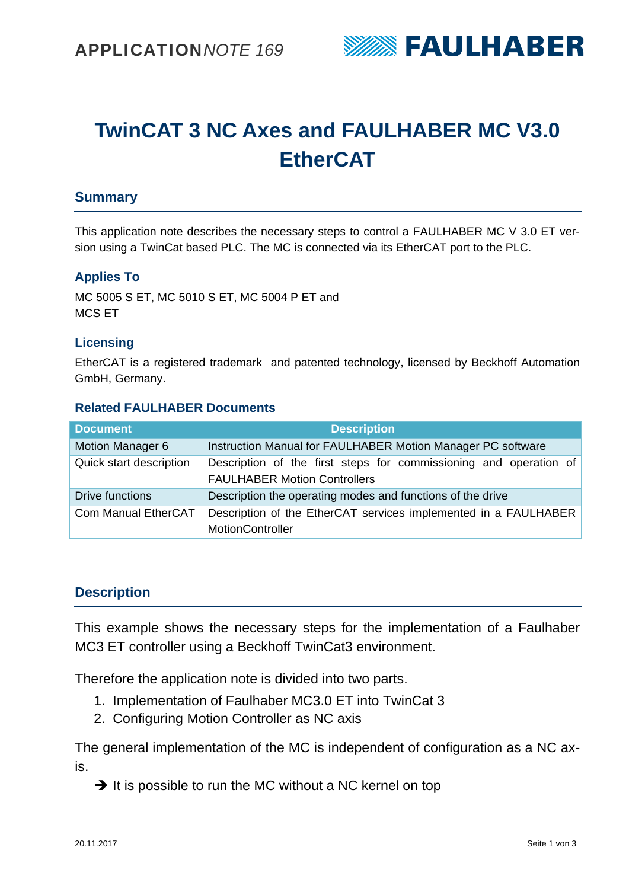

# **TwinCAT 3 NC Axes and FAULHABER MC V3.0 EtherCAT**

## **Summary**

This application note describes the necessary steps to control a FAULHABER MC V 3.0 ET version using a TwinCat based PLC. The MC is connected via its EtherCAT port to the PLC.

#### **Applies To**

MC 5005 S ET, MC 5010 S ET, MC 5004 P ET and MCS ET

#### **Licensing**

EtherCAT is a registered trademark and patented technology, licensed by Beckhoff Automation GmbH, Germany.

#### **Related FAULHABER Documents**

| <b>Document</b>         | <b>Description</b>                                                                                       |  |  |  |  |
|-------------------------|----------------------------------------------------------------------------------------------------------|--|--|--|--|
| Motion Manager 6        | Instruction Manual for FAULHABER Motion Manager PC software                                              |  |  |  |  |
| Quick start description | Description of the first steps for commissioning and operation of<br><b>FAULHABER Motion Controllers</b> |  |  |  |  |
| Drive functions         | Description the operating modes and functions of the drive                                               |  |  |  |  |
| Com Manual EtherCAT     | Description of the EtherCAT services implemented in a FAULHABER<br><b>MotionController</b>               |  |  |  |  |

### **Description**

This example shows the necessary steps for the implementation of a Faulhaber MC3 ET controller using a Beckhoff TwinCat3 environment.

Therefore the application note is divided into two parts.

- 1. Implementation of Faulhaber MC3.0 ET into TwinCat 3
- 2. Configuring Motion Controller as NC axis

The general implementation of the MC is independent of configuration as a NC axis.

 $\rightarrow$  It is possible to run the MC without a NC kernel on top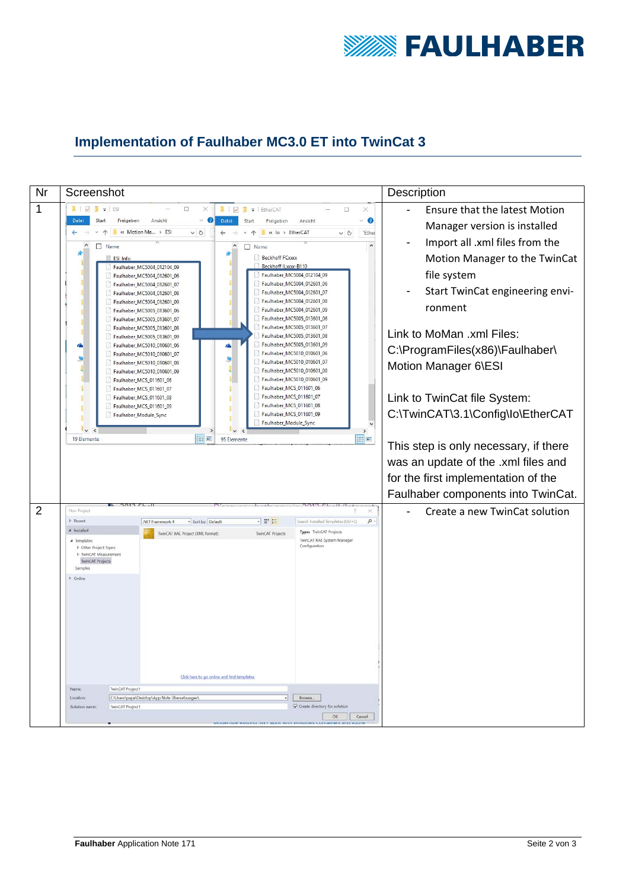

# **Implementation of Faulhaber MC3.0 ET into TwinCat 3**

| Nr             | Screenshot                                                                                                                                                    |                                                                                                                                                                                                                                                                                                                                                                                                                                                                                                                                                                                                            | Description                                                                                                          |
|----------------|---------------------------------------------------------------------------------------------------------------------------------------------------------------|------------------------------------------------------------------------------------------------------------------------------------------------------------------------------------------------------------------------------------------------------------------------------------------------------------------------------------------------------------------------------------------------------------------------------------------------------------------------------------------------------------------------------------------------------------------------------------------------------------|----------------------------------------------------------------------------------------------------------------------|
| 1              | $\mathbb{L}$ $\mathbb{L}$                                                                                                                                     | $\overline{B}$ $\overline{z}$ ESI<br>$\Box$<br>$\mathbb{R}$ $\mathbb{R}$<br>F   EtherCAT<br>$\Box$<br>×                                                                                                                                                                                                                                                                                                                                                                                                                                                                                                    | <b>Ensure that the latest Motion</b>                                                                                 |
|                | Datei<br>Start                                                                                                                                                | Ansicht<br>Datei<br>◉<br>Freigeben<br>Start<br>Ansicht<br>Freigeben                                                                                                                                                                                                                                                                                                                                                                                                                                                                                                                                        | Manager version is installed                                                                                         |
|                | $\leftarrow$<br>П                                                                                                                                             | « Motion Ma » ESI<br>$\sim$ 0<br>« lo > EtherCAT<br>"Ether<br>$\leftarrow$<br>$\sim$ 8                                                                                                                                                                                                                                                                                                                                                                                                                                                                                                                     | Import all .xml files from the                                                                                       |
|                |                                                                                                                                                               | Name<br>□<br>Name<br><b>Beckhoff FCxxxx</b><br>ESI Info<br>Beckhoff ILxxx-B110<br>Faulhaber_MC5004_012104_09<br>Faulhaber_MC5004_012104_09<br>Faulhaber_MC5004_012601_06<br>Faulhaber_MC5004_012601_06<br>Faulhaber_MC5004_012601_07<br>Faulhaber_MC5004_012601_07<br>Faulhaber_MC5004_012601_08<br>Faulhaber_MC5004_012601_08<br>Faulhaber_MC5004_012601_09<br>Faulhaber_MC5004_012601_09<br>Faulhaber_MC5005_013601_06                                                                                                                                                                                   | Motion Manager to the TwinCat<br>file system<br>Start TwinCat engineering envi-<br>ronment                           |
|                | â                                                                                                                                                             | Faulhaber_MC5005_013601_06<br>Faulhaber_MC5005_013601_07<br>Faulhaber_MC5005_013601_07<br>Faulhaber_MC5005_013601_08<br>Faulhaber_MC5005_013601_08<br>Faulhaber_MC5005_013601_09<br>Faulhaber_MC5005_013601_09<br>Faulhaber_MC5010_010601_06<br>â<br>Faulhaber_MC5010_010601_06<br>Faulhaber_MC5010_010601_07<br>Faulhaber_MC5010_010601_07<br>Faulhaber_MC5010_010601_08<br>Faulhaber_MC5010_010601_08<br>Faulhaber_MC5010_010601_09<br>Faulhaber_MC5010_010601_09<br>Faulhaber_MCS_011601_06<br>Faulhaber_MCS_011601_06<br>Faulhaber_MCS_011601_07<br>Faulhaber_MCS_011601_07<br>Faulhaber_MCS_011601_08 | Link to MoMan .xml Files:<br>C:\ProgramFiles(x86)\Faulhaber\<br>Motion Manager 6\ESI<br>Link to TwinCat file System: |
|                | 19 Elemente                                                                                                                                                   | Faulhaber_MCS_011601_08<br>Faulhaber_MCS_011601_09<br>Faulhaber_MCS_011601_09<br>Faulhaber_Module_Sync<br>Faulhaber_Module_Sync<br>FE<br><b>BEE</b><br>95 Elemente                                                                                                                                                                                                                                                                                                                                                                                                                                         | C:\TwinCAT\3.1\Config\lo\EtherCAT                                                                                    |
|                |                                                                                                                                                               |                                                                                                                                                                                                                                                                                                                                                                                                                                                                                                                                                                                                            | This step is only necessary, if there                                                                                |
|                |                                                                                                                                                               |                                                                                                                                                                                                                                                                                                                                                                                                                                                                                                                                                                                                            | was an update of the .xml files and                                                                                  |
|                |                                                                                                                                                               |                                                                                                                                                                                                                                                                                                                                                                                                                                                                                                                                                                                                            | for the first implementation of the                                                                                  |
|                |                                                                                                                                                               |                                                                                                                                                                                                                                                                                                                                                                                                                                                                                                                                                                                                            | Faulhaber components into TwinCat.                                                                                   |
| $\overline{2}$ | New Project                                                                                                                                                   | ×                                                                                                                                                                                                                                                                                                                                                                                                                                                                                                                                                                                                          | Create a new TwinCat solution                                                                                        |
|                | <b>b</b> Recent                                                                                                                                               | 日間目<br>· Sort by: Default<br>Search Installed Templates (Ctrl+E)<br>$\Omega$ .<br>.NET Framework 4                                                                                                                                                                                                                                                                                                                                                                                                                                                                                                         |                                                                                                                      |
|                | A Installed<br>$\blacktriangle$ Termplates<br><b>b</b> Other Project Types<br>1- TwinCAT Measurement<br><b>TwinCAT Projects</b><br>Samples<br><b>D</b> Online | Type: TwinCAT Projects<br>TwinCAT Projects<br>TwinCAT XAE Project (XML format)<br>TwinCAT XAE System Manager<br>Configuration                                                                                                                                                                                                                                                                                                                                                                                                                                                                              |                                                                                                                      |
|                |                                                                                                                                                               | Click here to go online and find templates                                                                                                                                                                                                                                                                                                                                                                                                                                                                                                                                                                 |                                                                                                                      |
|                | Name<br>Location:                                                                                                                                             | TwinCAT Project1<br>CAUsers\papa\Desktop\App Note Übersetzungen\<br>$\cdot$<br>Browse                                                                                                                                                                                                                                                                                                                                                                                                                                                                                                                      |                                                                                                                      |
|                | Solution name                                                                                                                                                 | Create directory for solution<br><b>TwinCAT Project1</b>                                                                                                                                                                                                                                                                                                                                                                                                                                                                                                                                                   |                                                                                                                      |
|                |                                                                                                                                                               | OK<br>Cancel                                                                                                                                                                                                                                                                                                                                                                                                                                                                                                                                                                                               |                                                                                                                      |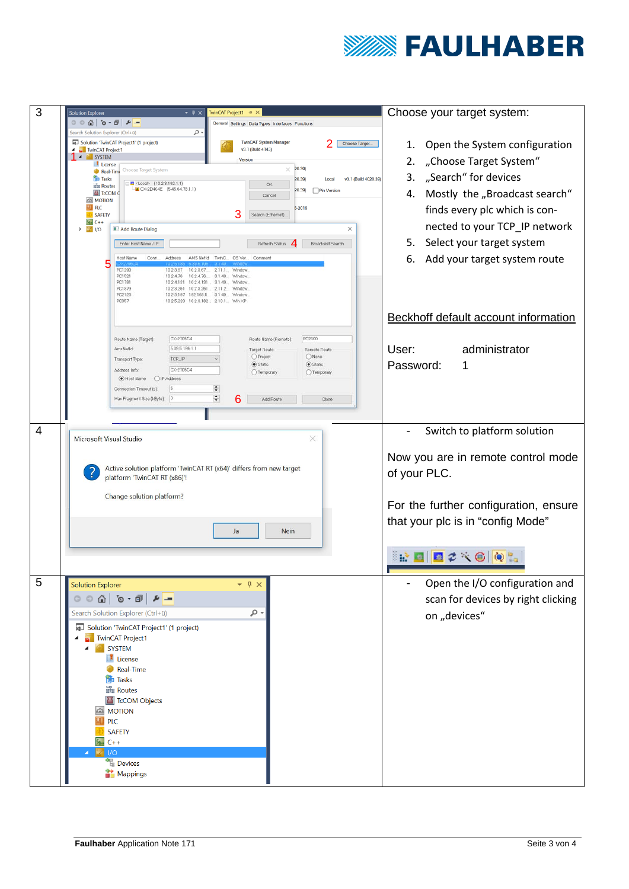

| 3<br><b>Solution Explorer</b>                                                                                                                                         | $-4x$                                                                                                                                                                                                                                                                                                                                         | TwinCAT Project1 ÷ ×                                                                                                                                                                                        | Choose your target system:                                                                                                                                                                                                                                     |
|-----------------------------------------------------------------------------------------------------------------------------------------------------------------------|-----------------------------------------------------------------------------------------------------------------------------------------------------------------------------------------------------------------------------------------------------------------------------------------------------------------------------------------------|-------------------------------------------------------------------------------------------------------------------------------------------------------------------------------------------------------------|----------------------------------------------------------------------------------------------------------------------------------------------------------------------------------------------------------------------------------------------------------------|
|                                                                                                                                                                       |                                                                                                                                                                                                                                                                                                                                               | General Settings Data Types Interfaces Function                                                                                                                                                             |                                                                                                                                                                                                                                                                |
| iearch Solution Explorer (Ctrl+ū)<br>TwinCAT Project1<br><b>1</b> SYSTEM<br>License<br><b>Ru</b> Tasks<br><b>Big Routes</b><br><b>ES MOTION</b><br>m<br>PLC<br>SAFETY | . م<br>[4] Solution 'TwinCAT Project1' (1 project)<br>Choose Target System<br>Real-Time<br><b>B-0</b> <locab (10.2.3.192.1.1)<br=""><math>-\sqrt{2}</math> CX-2D404E <math>(5.45.64.78.1.1)</math><br/>T<sub>c</sub>COM C</locab>                                                                                                             | TwinCAT System Manager<br>Choose Target<br>v3.1 (Build 4143)<br>Version<br>20.39)<br>×<br>20.39)<br>Local<br>OK<br>(20.39)<br><b>Pin Version</b><br>Cancel<br>6-2016<br>3<br>Search (Ethernet).             | 1. Open the System configuration<br>"Choose Target System"<br>2.<br>3. "Search" for devices<br>v3.1 (Build 4020.39)<br>Mostly the "Broadcast search"<br>4.<br>finds every plc which is con-                                                                    |
| <b>Part</b> C++<br>$\triangleright$ 2 $\triangleright$                                                                                                                | Add Route Dialog<br>Enter Host Name / IP:<br>Host Name<br>AMS NetId<br>Conn.<br>Address<br>PC1290<br>102367<br>102367<br>PC1521<br>1024.76<br>PC1781<br>1024131 1024131<br>PC1879<br>1023251 1023251 2112<br>PC2123<br>10 2 3 197 192 168 5 3.1 40<br>PC357                                                                                   | ×<br>Refresh Status<br>Broadcast Search<br>TwinC.<br>OS Ver.<br>Comment<br>2.11.1<br>Window<br>3.1.40<br>Window<br>3.1.40<br>Window<br>Window<br>Window<br>10.2.5.220 10.2.3.182 2.10.1 Win XP              | nected to your TCP_IP network<br>5. Select your target system<br>Add your target system route<br>6.<br>Beckhoff default account information                                                                                                                    |
|                                                                                                                                                                       | CX-2705C4<br>Route Name (Target):<br>5.39.5.196.1.1<br>AmsNetId:<br>TCP_IP<br>Transport Type:<br>CX-2705C4<br>Address Info:<br>O IP Address<br>O Host Name<br>Connection Timeout (s)<br>Max Fragment Size (kByte):<br> 0                                                                                                                      | PC2300<br>Route Name (Remote):<br>Target Route<br>Remote Route<br>O Project<br>O None<br>Static<br>Static<br>$O$ Temporary<br>Temporary<br>$\ddot{\phantom{a}}$<br>$\hat{\cdot}$<br>6<br>Add Route<br>Close | User:<br>administrator<br>Password:<br>1                                                                                                                                                                                                                       |
| 4                                                                                                                                                                     | Microsoft Visual Studio<br>platform 'TwinCAT RT (x86)'!<br>Change solution platform?                                                                                                                                                                                                                                                          | ×<br>Active solution platform 'TwinCAT RT (x64)' differs from new target<br>Ja<br>Nein                                                                                                                      | Switch to platform solution<br>$\overline{\phantom{a}}$<br>Now you are in remote control mode<br>of your PLC.<br>For the further configuration, ensure<br>that your plc is in "config Mode"<br>$\mathbb{R}$ det $\mathbb{Z} \times \mathbb{C}$ or $\mathbb{C}$ |
| 5<br><b>Solution Explorer</b><br>q.,                                                                                                                                  | <b>. ● ● ● ● ● ● ●</b> ● ●<br>Search Solution Explorer (Ctrl+ü)<br>Solution 'TwinCAT Project1' (1 project)<br><b>TwinCAT Project1</b><br><b>SYSTEM</b><br>License<br>Real-Time<br>置 Tasks<br>品 Routes<br>T <sub>c</sub> COM Objects<br><b>EN MOTION</b><br><b>PLC</b><br><b>SAFETY</b><br>$C++$<br>1/O<br>·<br>唱 Devices<br><b>A</b> Mappings | $4 \times$<br>٩                                                                                                                                                                                             | Open the I/O configuration and<br>scan for devices by right clicking<br>on "devices"                                                                                                                                                                           |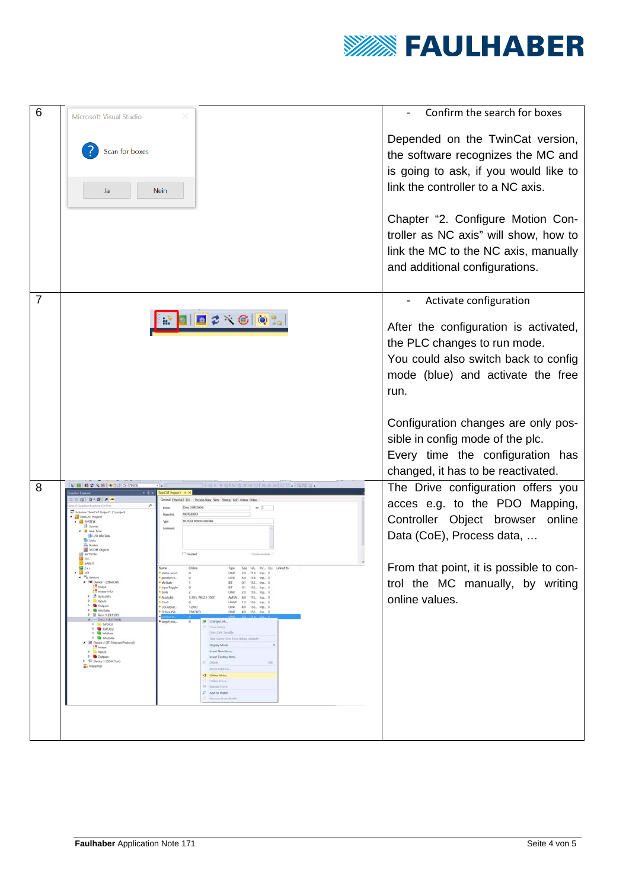

| 6              | Microsoft Visual Studio                                                                                                                                                                                                                                                                                                                                                                                                                                                                                                                                                                                                                                                                                                                                                                                                                                                                                                                                                                                                                                                                                                                                                                                                                                   | Confirm the search for boxes                                                                                                                               |
|----------------|-----------------------------------------------------------------------------------------------------------------------------------------------------------------------------------------------------------------------------------------------------------------------------------------------------------------------------------------------------------------------------------------------------------------------------------------------------------------------------------------------------------------------------------------------------------------------------------------------------------------------------------------------------------------------------------------------------------------------------------------------------------------------------------------------------------------------------------------------------------------------------------------------------------------------------------------------------------------------------------------------------------------------------------------------------------------------------------------------------------------------------------------------------------------------------------------------------------------------------------------------------------|------------------------------------------------------------------------------------------------------------------------------------------------------------|
|                | Scan for boxes<br>Ja<br><b>Nein</b>                                                                                                                                                                                                                                                                                                                                                                                                                                                                                                                                                                                                                                                                                                                                                                                                                                                                                                                                                                                                                                                                                                                                                                                                                       | Depended on the TwinCat version,<br>the software recognizes the MC and<br>is going to ask, if you would like to<br>link the controller to a NC axis.       |
|                |                                                                                                                                                                                                                                                                                                                                                                                                                                                                                                                                                                                                                                                                                                                                                                                                                                                                                                                                                                                                                                                                                                                                                                                                                                                           | Chapter "2. Configure Motion Con-<br>troller as NC axis" will show, how to<br>link the MC to the NC axis, manually<br>and additional configurations.       |
| $\overline{7}$ |                                                                                                                                                                                                                                                                                                                                                                                                                                                                                                                                                                                                                                                                                                                                                                                                                                                                                                                                                                                                                                                                                                                                                                                                                                                           | Activate configuration                                                                                                                                     |
|                | 日12 公(6) 10 10 10                                                                                                                                                                                                                                                                                                                                                                                                                                                                                                                                                                                                                                                                                                                                                                                                                                                                                                                                                                                                                                                                                                                                                                                                                                         | After the configuration is activated,<br>the PLC changes to run mode.<br>You could also switch back to config<br>mode (blue) and activate the free<br>run. |
|                |                                                                                                                                                                                                                                                                                                                                                                                                                                                                                                                                                                                                                                                                                                                                                                                                                                                                                                                                                                                                                                                                                                                                                                                                                                                           | Configuration changes are only pos-<br>sible in config mode of the plc.<br>Every time the configuration has<br>changed, it has to be reactivated.          |
| 8              | い目目の<br><b>No. 06   No. 7     DX-3705CA</b><br>$-4.0 - 0.0$<br>Devs 3 (MC500)<br>nCAT Project1' L1 project<br><b>Object lo</b><br>3033020003<br><b>MCSODA MotionControll</b><br>SYSTEM<br>the Roads<br><b>B LCOM ON</b><br>Disabled<br>MOTION                                                                                                                                                                                                                                                                                                                                                                                                                                                                                                                                                                                                                                                                                                                                                                                                                                                                                                                                                                                                             | The Drive configuration offers you<br>acces e.g. to the PDO Mapping,<br>Controller Object browser<br>online<br>Data (CoE), Process data,                   |
|                | SAFETY<br>Online<br>Size a-A., Inc., Us., Delead to<br>$\blacksquare$ Devices<br>DINT 4.0 73.0 Inp., 0<br>polition a<br>n.<br># TH Device 1 (litherCAT)<br>WcState<br>BIT 0.1 152 Inp., 0<br>I <sup>n</sup> Image<br>* InputToggle<br>BIT 0.1 152. Inp., 0<br>till Image-Info<br>State 1<br>UNT 2.0 155., Inp., 0<br>$b \nightharpoonup$ SyncUnits<br>AduAddr<br>5395196211002<br>AMSA., 8.0 155., Inp., 0<br><b>b</b> <i>C</i> Inputs<br>ChrO:<br>USINT 1.0 156. Inp., 0<br><b>1</b> Curpuls<br>DrOutput.<br>12900<br>DINT 4.0 156. Inp., 0<br><b>b</b> MinfoData<br>7987100<br>DINT 40 156. Inp. 0<br>DchputSh.<br><b>D II</b> Term 1 (EK1200)<br>A Drive J (MCS004)<br><b>S</b> Change Link<br>target pos.<br>ö<br>$D$ $D$ $\Delta P$ DO2<br>C : Clear Link(s)<br><b>F &amp; RuPOCO</b><br>Gobo Link Variable<br><b>D</b> Widshire<br><b>D</b> InfoData<br>Take Name Civer from Inked Variable<br><sup>4</sup> H Device 4 (RT-Ethernet Protocol)<br>Display Mode<br>the Image<br>Insert New Item.<br><b>b C</b> Inputs<br><b>b</b> Culputs<br>- Insert Existing Rem.<br>P (F Device 3 (COM Port)<br>C Delete<br>Del<br>Mappings<br>More Address<br>+3 Online Write.<br>1 College Featur<br>N. falsas Form<br>P Add to Wetch<br>11 - Remotes from Watch | From that point, it is possible to con-<br>trol the MC manually, by writing<br>online values.                                                              |
|                |                                                                                                                                                                                                                                                                                                                                                                                                                                                                                                                                                                                                                                                                                                                                                                                                                                                                                                                                                                                                                                                                                                                                                                                                                                                           |                                                                                                                                                            |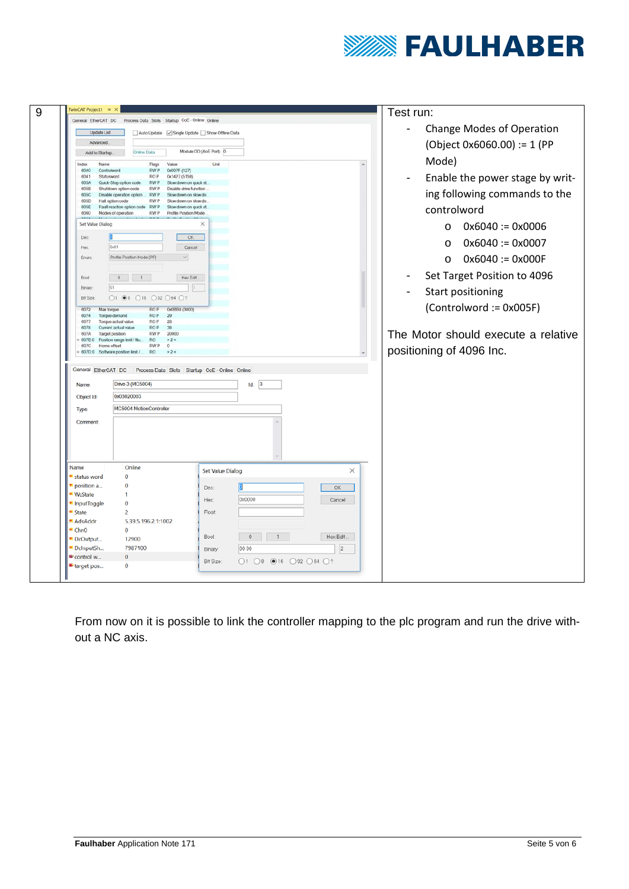

| General EtherCAT DC<br>Update List     |                                                                                                                                                                                           | Auto Update Single Update Show Offline Data                                                                                  |                                                                                                             | <b>Change Modes of Operation</b>             |
|----------------------------------------|-------------------------------------------------------------------------------------------------------------------------------------------------------------------------------------------|------------------------------------------------------------------------------------------------------------------------------|-------------------------------------------------------------------------------------------------------------|----------------------------------------------|
| Advanced.                              |                                                                                                                                                                                           |                                                                                                                              |                                                                                                             |                                              |
| Add to Startup                         | Online Data                                                                                                                                                                               | Module OD (AoE Port): 0                                                                                                      |                                                                                                             | (Object 0x6060.00) := 1 (PP                  |
| Index<br>Name<br>6040<br>6041          | Flags<br>Controlword<br><b>RWP</b><br><b>ROP</b><br>Statusword                                                                                                                            | Unit<br>Value<br>0x007F (127)<br>0x1427 (5159)                                                                               | Mode)                                                                                                       | Enable the power stage by writ-              |
| 605A<br>6058<br>605C<br>605D<br>605E   | Quick-Stop option code<br><b>RWP</b><br>Shutdown option code<br><b>RWP</b><br>Disable operation option<br><b>RWP</b><br>Halt option code<br><b>RWP</b><br>Fault reaction option code RW P | Slow down on quick st.<br>Disable drive function<br>Slow down on slow do.<br>Slow down on slow do.<br>Slow down on quick st. |                                                                                                             | ing following commands to the<br>controlword |
| 6060<br>Set Value Dialog               | Modes of operation<br><b>RWP</b>                                                                                                                                                          | Profile Position Mode<br>$\times$                                                                                            |                                                                                                             |                                              |
| Dec                                    |                                                                                                                                                                                           | OK.                                                                                                                          | $\circ$<br>$\circ$                                                                                          | $0x6040 := 0x0006$<br>$0x6040 := 0x0007$     |
| Hex:<br>Enum:                          | 0x01<br>Profile Position Mode (PP)                                                                                                                                                        | Cancel<br>$\mathbf{v}$                                                                                                       | $\circ$                                                                                                     | $0x6040 := 0x000F$                           |
| Bool:                                  | $0 \qquad 1$                                                                                                                                                                              | Hex Edit                                                                                                                     |                                                                                                             | Set Target Position to 4096                  |
| Binary:<br><b>Bit Size</b>             | $\bigcirc$ 1 $\bigcirc$ 8 $\bigcirc$ 16 $\bigcirc$ 32 $\bigcirc$ 64 $\bigcirc$ ?                                                                                                          | $\mathbf{1}$                                                                                                                 |                                                                                                             | Start positioning                            |
| 6074<br>6077<br>6078<br>607A<br>607B.O | Torque demand<br><b>ROP</b><br><b>ROP</b><br>Torque actual value<br><b>ROP</b><br>Current actual value<br>Target position<br><b>RWP</b><br>Position range limit / Nu.<br><b>RO</b>        | 29<br>28<br>38<br>20000<br>$>2$ <                                                                                            |                                                                                                             | $(Controlword := 0x005F)$                    |
| 607C<br>General EtherCAT DC            | Home offset<br><b>RWP</b><br>607D.0 Software position limit /<br>RO                                                                                                                       | $\Omega$<br>$>2$ <<br>Process Data Slots Startup CoE - Online Online                                                         | positioning of 4096 Inc.                                                                                    |                                              |
| Name:                                  | Drive 3 (MC5004)                                                                                                                                                                          |                                                                                                                              | Id: 3                                                                                                       |                                              |
| Object Id:                             | 0x03020003                                                                                                                                                                                |                                                                                                                              |                                                                                                             |                                              |
| Type:                                  | MC5004 MotionController                                                                                                                                                                   |                                                                                                                              |                                                                                                             |                                              |
| Comment:                               |                                                                                                                                                                                           |                                                                                                                              |                                                                                                             |                                              |
| Name<br><b>E</b> status word           | Online<br>$\bf{0}$                                                                                                                                                                        | <b>Set Value Dialog</b>                                                                                                      | ×                                                                                                           |                                              |
| position a                             | $\bf{0}$                                                                                                                                                                                  | Dec:                                                                                                                         | OK                                                                                                          |                                              |
| <b>WcState</b>                         |                                                                                                                                                                                           | Hex:                                                                                                                         | 0x0000<br>Cancel                                                                                            | The Motor should execute a relative          |
| InputToggle                            | $\mathbf 0$                                                                                                                                                                               |                                                                                                                              |                                                                                                             |                                              |
| State                                  | 2                                                                                                                                                                                         | Float                                                                                                                        |                                                                                                             |                                              |
| <b>AdsAddr</b>                         | 5.39.5.196.2.1:1002<br>$\mathbf 0$                                                                                                                                                        |                                                                                                                              |                                                                                                             |                                              |
| Chn <sub>0</sub><br>DcOutput           | 12900                                                                                                                                                                                     | Bool:                                                                                                                        | Hex Edit.<br>$\circ$<br>$\mathbf{1}$                                                                        |                                              |
|                                        | 7987100                                                                                                                                                                                   |                                                                                                                              |                                                                                                             |                                              |
| DcInputSh<br>"control w                | $\bf{0}$                                                                                                                                                                                  | Binary:<br>Bit Size:                                                                                                         | $\overline{2}$<br>00 00<br>$\bigcirc$ 1 $\bigcirc$ 8 $\bigcirc$ 16 $\bigcirc$ 32 $\bigcirc$ 64 $\bigcirc$ ? |                                              |

From now on it is possible to link the controller mapping to the plc program and run the drive without a NC axis.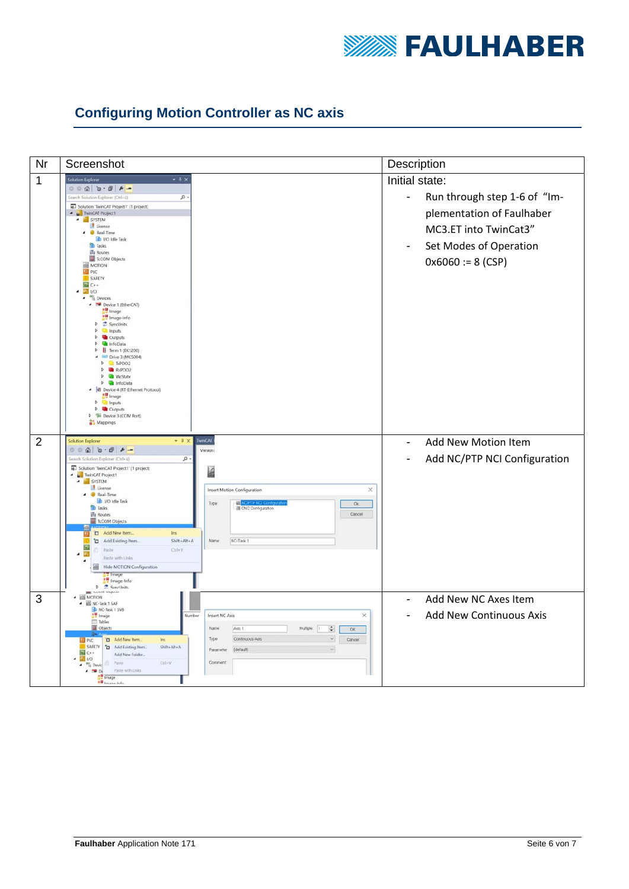

## **Configuring Motion Controller as NC axis**

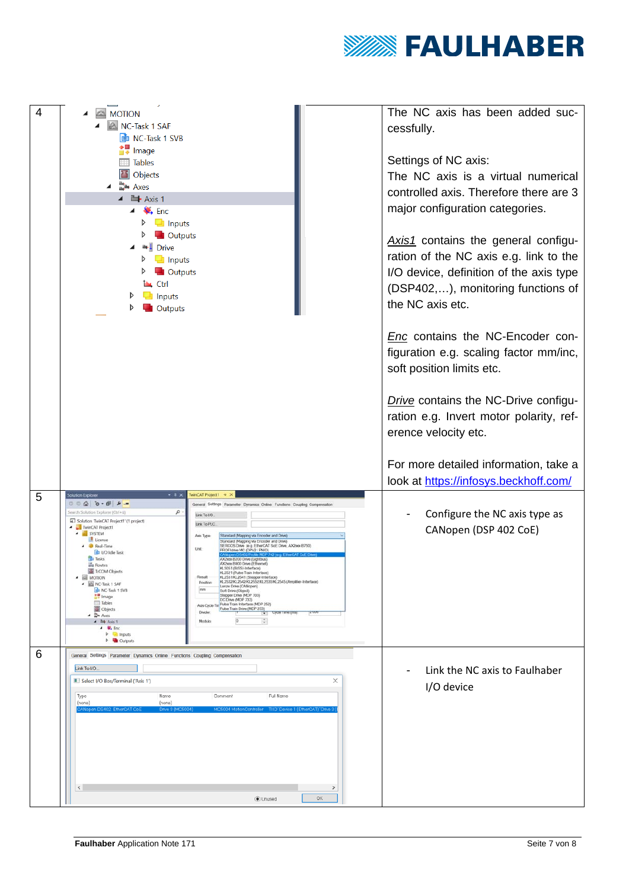

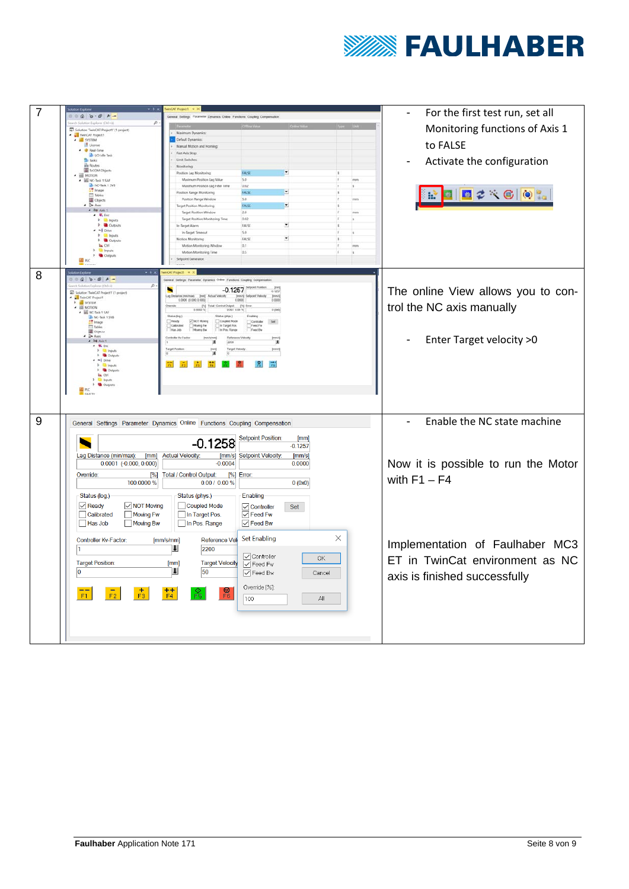

|   | $\cdot$ .                                                                                                                                                                                                                                                                                                                                                                                                                                                                                     |                                                                               |                                                   |           |          |                                                         |
|---|-----------------------------------------------------------------------------------------------------------------------------------------------------------------------------------------------------------------------------------------------------------------------------------------------------------------------------------------------------------------------------------------------------------------------------------------------------------------------------------------------|-------------------------------------------------------------------------------|---------------------------------------------------|-----------|----------|---------------------------------------------------------|
| 7 |                                                                                                                                                                                                                                                                                                                                                                                                                                                                                               |                                                                               | For the first test run, set all<br>$\blacksquare$ |           |          |                                                         |
|   | ٩                                                                                                                                                                                                                                                                                                                                                                                                                                                                                             |                                                                               |                                                   |           |          |                                                         |
|   | E Solution TwinCAT Project1' (1 project)<br>TwinCAT Project1                                                                                                                                                                                                                                                                                                                                                                                                                                  | um Dynamics:                                                                  |                                                   |           |          | Monitoring functions of Axis 1                          |
|   | SYSTEM<br><b>El</b> License                                                                                                                                                                                                                                                                                                                                                                                                                                                                   | Default Dynamics<br>Manual Motion and Homing                                  |                                                   |           |          | to FALSE                                                |
|   | <b>B</b> Real-Time<br>to 10 ide lask                                                                                                                                                                                                                                                                                                                                                                                                                                                          | Fast Azis Stop                                                                |                                                   |           |          |                                                         |
|   | <b>Bu</b> Tasks<br>in Routes                                                                                                                                                                                                                                                                                                                                                                                                                                                                  | Limit Switches                                                                |                                                   |           |          | Activate the configuration                              |
|   | E IcCOM Objects                                                                                                                                                                                                                                                                                                                                                                                                                                                                               | Monitoring<br>Position Lag Monitoring                                         | ×<br><b>FALSE</b>                                 |           |          |                                                         |
|   | MOTION<br>$\blacksquare$ NC-Task 1 SAF                                                                                                                                                                                                                                                                                                                                                                                                                                                        | Maximum Position Lag Value                                                    | 5.0                                               |           | mm       |                                                         |
|   | $MC-Isik 15V510imageTables$                                                                                                                                                                                                                                                                                                                                                                                                                                                                   | Maximum Position Lag Filter Time                                              | 0.02                                              |           |          |                                                         |
|   | <b>DE</b> Objects                                                                                                                                                                                                                                                                                                                                                                                                                                                                             | Position Range Monitoring<br>Position Range Window                            | ×<br>FALSE<br>5.0                                 |           |          | 日之父母 电温                                                 |
|   | $\Rightarrow$ Assn                                                                                                                                                                                                                                                                                                                                                                                                                                                                            | Target Position Monitoring                                                    | ×<br>FALSE                                        |           |          |                                                         |
|   | $\triangle$ <b>ht</b> Asis 1<br>$\triangleq$ $\blacksquare$ . End                                                                                                                                                                                                                                                                                                                                                                                                                             | <b>Target Position Window</b>                                                 | 2.0                                               |           | mm       |                                                         |
|   | <b>3. Ell Incuts</b><br><b>Outputs</b>                                                                                                                                                                                                                                                                                                                                                                                                                                                        | Target Position Monitoring Time<br>In-Target Alarm                            | 0.02<br>FALSE                                     | $\bullet$ |          |                                                         |
|   | -I Drive                                                                                                                                                                                                                                                                                                                                                                                                                                                                                      | In-Target Timeout                                                             | 5.0                                               |           |          |                                                         |
|   | <b>Cili</b> Input:<br><b>Cutrich</b>                                                                                                                                                                                                                                                                                                                                                                                                                                                          | Motion Monitoring                                                             | FALSE                                             | $\bullet$ |          |                                                         |
|   | <b>Las</b> Ctrl<br>Inputs                                                                                                                                                                                                                                                                                                                                                                                                                                                                     | Motion Monitoring Window<br>Motion Monitoring Time                            | 0.7<br>0.5                                        |           | reas     |                                                         |
|   | <b>Outputs</b><br><b>ED</b> PLC                                                                                                                                                                                                                                                                                                                                                                                                                                                               | <b>Saturint Generator</b>                                                     |                                                   |           |          |                                                         |
|   |                                                                                                                                                                                                                                                                                                                                                                                                                                                                                               |                                                                               |                                                   |           |          |                                                         |
| 8 | $-3x$                                                                                                                                                                                                                                                                                                                                                                                                                                                                                         | <b>CAT Project1</b>                                                           |                                                   |           |          |                                                         |
|   | $-40.0000$<br>٩                                                                                                                                                                                                                                                                                                                                                                                                                                                                               |                                                                               |                                                   |           |          |                                                         |
|   | <b>4</b> Solution TwinCAT Project1' (1 project)                                                                                                                                                                                                                                                                                                                                                                                                                                               | ×<br>$-0.1257$<br>ag Distance                                                 | 0.1257                                            |           |          | The online View allows you to con-                      |
|   | <b>TwinCAT Project1</b><br><b>SYSTEM</b>                                                                                                                                                                                                                                                                                                                                                                                                                                                      | 0.0000 (0.000, 0.000)<br>octy                                                 | <b>Juan's</b><br>$\frac{1}{0000}$                 |           |          |                                                         |
|   | <b>EN</b> MOTION<br>NC-Task 1 SAF                                                                                                                                                                                                                                                                                                                                                                                                                                                             | $\frac{1}{x}$<br>Total / Control Output                                       | Output [N] Erro<br>0.00 / 0.00 %<br>0.(0x0)       |           |          | trol the NC axis manually                               |
|   | ah NC-Task 1 SV8<br>A <sup>m</sup> Image                                                                                                                                                                                                                                                                                                                                                                                                                                                      | Status (log.)<br>Let (phys.)<br>Fieady<br><b>DINOT Movie</b><br>Coupled Mode  | Set<br>Controller<br>Feed Fw                      |           |          |                                                         |
|   | <b>Til Tables</b><br><b>ED</b> Objects                                                                                                                                                                                                                                                                                                                                                                                                                                                        | Caltrate<br>Moving Fw<br>in Target Pos<br>Has Job<br>Mowing Bar<br>fos. Range | Feed Bw                                           |           |          |                                                         |
|   | $\rightarrow$ $\Rightarrow$ Axes<br>$-200$ Asis 1                                                                                                                                                                                                                                                                                                                                                                                                                                             | Date                                                                          |                                                   |           |          | Enter Target velocity > 0                               |
|   | $-4$ $-4$                                                                                                                                                                                                                                                                                                                                                                                                                                                                                     | 2200<br>Targe                                                                 | T                                                 |           |          |                                                         |
|   | $\begin{tabular}{ll} $\mathbb{P}$ & \begin{tabular}{l} \multicolumn{2}{c}{\textbf{a}} \\ \multicolumn{2}{c}{\textbf{b}} \\ \multicolumn{2}{c}{\textbf{b}} \\ \multicolumn{2}{c}{\textbf{c}} \\ \multicolumn{2}{c}{\textbf{a}} \\ \multicolumn{2}{c}{\textbf{b}} \\ \multicolumn{2}{c}{\textbf{c}} \\ \multicolumn{2}{c}{\textbf{b}} \\ \multicolumn{2}{c}{\textbf{c}} \\ \multicolumn{2}{c}{\textbf{d}} \\ \multicolumn{2}{c}{\textbf{e}} \\ \multicolumn{2}{c}{\textbf{b}} \\ \multicolumn{$ |                                                                               |                                                   |           |          |                                                         |
|   | $-1$ Drive<br><b>1 G Inputs</b>                                                                                                                                                                                                                                                                                                                                                                                                                                                               |                                                                               |                                                   |           |          |                                                         |
|   | <b>D</b> Outputs<br>la Ctrl                                                                                                                                                                                                                                                                                                                                                                                                                                                                   |                                                                               |                                                   |           |          |                                                         |
|   | <b>City Inquiry</b><br><b>Outputs</b>                                                                                                                                                                                                                                                                                                                                                                                                                                                         |                                                                               |                                                   |           |          |                                                         |
|   | <b>III</b> PLC<br><b>E</b> SAFETY                                                                                                                                                                                                                                                                                                                                                                                                                                                             |                                                                               |                                                   |           |          |                                                         |
|   |                                                                                                                                                                                                                                                                                                                                                                                                                                                                                               |                                                                               |                                                   |           |          |                                                         |
|   |                                                                                                                                                                                                                                                                                                                                                                                                                                                                                               |                                                                               |                                                   |           |          |                                                         |
| 9 |                                                                                                                                                                                                                                                                                                                                                                                                                                                                                               |                                                                               |                                                   |           |          | Enable the NC state machine<br>$\overline{\phantom{0}}$ |
|   | General Settings Parameter Dynamics Online Functions Coupling Compensation                                                                                                                                                                                                                                                                                                                                                                                                                    |                                                                               |                                                   |           |          |                                                         |
|   |                                                                                                                                                                                                                                                                                                                                                                                                                                                                                               |                                                                               | <b>Setpoint Position:</b>                         | [mm]      |          |                                                         |
|   |                                                                                                                                                                                                                                                                                                                                                                                                                                                                                               |                                                                               | $-0.1258$<br>$-0.1257$                            |           |          |                                                         |
|   | Lag Distance (min/max):<br>[mm]                                                                                                                                                                                                                                                                                                                                                                                                                                                               | <b>Actual Velocity:</b><br>[mm/s]                                             | <b>Setpoint Velocity:</b>                         | [mm/s]    |          |                                                         |
|   | $0.0001$ (-0.000, 0.000)                                                                                                                                                                                                                                                                                                                                                                                                                                                                      | $-0.0004$                                                                     |                                                   | 0.0000    |          | Now it is possible to run the Motor                     |
|   | Override:<br>[%]                                                                                                                                                                                                                                                                                                                                                                                                                                                                              | Total / Control Output:                                                       | [%] Error:                                        |           |          |                                                         |
|   | 100.0000 %                                                                                                                                                                                                                                                                                                                                                                                                                                                                                    | $0.001000\%$                                                                  |                                                   | 0(0x0)    |          | with $F1 - F4$                                          |
|   |                                                                                                                                                                                                                                                                                                                                                                                                                                                                                               |                                                                               |                                                   |           |          |                                                         |
|   | Status (log.)                                                                                                                                                                                                                                                                                                                                                                                                                                                                                 | Status (phys.)                                                                | Enabling                                          |           |          |                                                         |
|   | $\sqrt{}$ Ready<br>$\overline{\vee}$ NOT Moving                                                                                                                                                                                                                                                                                                                                                                                                                                               | Coupled Mode                                                                  | <b>O</b> Controller<br>○ Feed Fw                  | Set       |          |                                                         |
|   | Moving Fw<br>Calibrated                                                                                                                                                                                                                                                                                                                                                                                                                                                                       | In Target Pos.                                                                |                                                   |           |          |                                                         |
|   | Has Job<br>Moving Bw                                                                                                                                                                                                                                                                                                                                                                                                                                                                          | In Pos. Range                                                                 | $\vee$ Feed Bw                                    |           |          |                                                         |
|   |                                                                                                                                                                                                                                                                                                                                                                                                                                                                                               |                                                                               | <b>Set Enabling</b>                               |           | $\times$ |                                                         |
|   | Controller Kv-Factor:<br>l 1                                                                                                                                                                                                                                                                                                                                                                                                                                                                  | [mm/s/mm]<br><b>Reference Vel</b><br>$\mathbf{\mathbf{\mathsf{u}}}$           |                                                   |           |          | Implementation of Faulhaber MC3                         |
|   |                                                                                                                                                                                                                                                                                                                                                                                                                                                                                               | 2200                                                                          | Oontroller                                        |           |          |                                                         |
|   | <b>Target Position:</b>                                                                                                                                                                                                                                                                                                                                                                                                                                                                       | <b>Target Velocity</b><br>[mm]                                                | $ $ Feed Fw                                       | OK        |          | ET in TwinCat environment as NC                         |
|   | $\overline{0}$                                                                                                                                                                                                                                                                                                                                                                                                                                                                                | $\mathsf{L}$<br>50                                                            | $\triangledown$ Feed Bw                           | Cancel    |          |                                                         |
|   |                                                                                                                                                                                                                                                                                                                                                                                                                                                                                               |                                                                               |                                                   |           |          | axis is finished successfully                           |
|   | $\frac{+}{F3}$                                                                                                                                                                                                                                                                                                                                                                                                                                                                                | ම<br>F6<br>$+ +$<br>F4                                                        | Override [%]:                                     |           |          |                                                         |
|   | F <sub>2</sub><br>F1                                                                                                                                                                                                                                                                                                                                                                                                                                                                          |                                                                               | 100                                               | All       |          |                                                         |
|   |                                                                                                                                                                                                                                                                                                                                                                                                                                                                                               |                                                                               |                                                   |           |          |                                                         |
|   |                                                                                                                                                                                                                                                                                                                                                                                                                                                                                               |                                                                               |                                                   |           |          |                                                         |
|   |                                                                                                                                                                                                                                                                                                                                                                                                                                                                                               |                                                                               |                                                   |           |          |                                                         |
|   |                                                                                                                                                                                                                                                                                                                                                                                                                                                                                               |                                                                               |                                                   |           |          |                                                         |
|   |                                                                                                                                                                                                                                                                                                                                                                                                                                                                                               |                                                                               |                                                   |           |          |                                                         |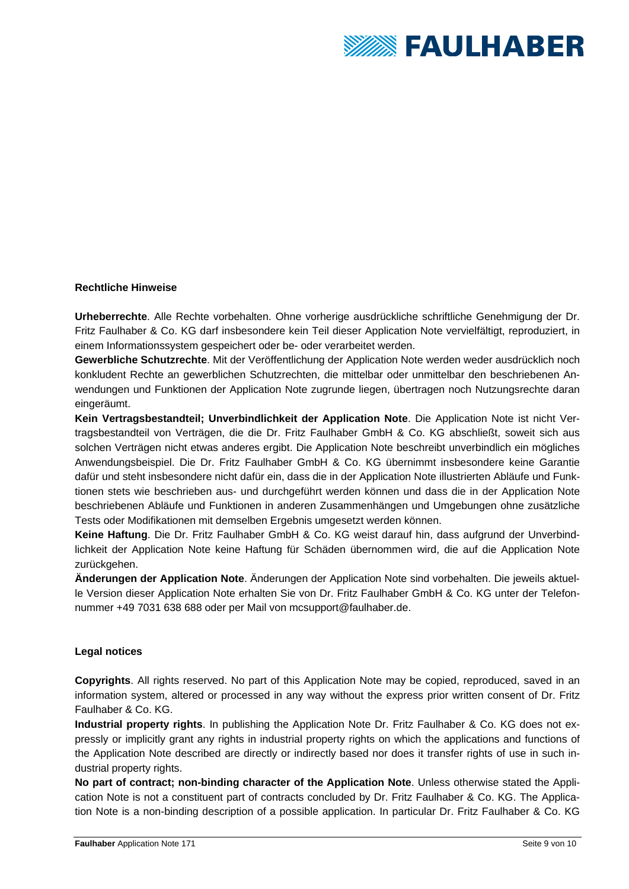

#### **Rechtliche Hinweise**

**Urheberrechte**. Alle Rechte vorbehalten. Ohne vorherige ausdrückliche schriftliche Genehmigung der Dr. Fritz Faulhaber & Co. KG darf insbesondere kein Teil dieser Application Note vervielfältigt, reproduziert, in einem Informationssystem gespeichert oder be- oder verarbeitet werden.

**Gewerbliche Schutzrechte**. Mit der Veröffentlichung der Application Note werden weder ausdrücklich noch konkludent Rechte an gewerblichen Schutzrechten, die mittelbar oder unmittelbar den beschriebenen Anwendungen und Funktionen der Application Note zugrunde liegen, übertragen noch Nutzungsrechte daran eingeräumt.

**Kein Vertragsbestandteil; Unverbindlichkeit der Application Note**. Die Application Note ist nicht Vertragsbestandteil von Verträgen, die die Dr. Fritz Faulhaber GmbH & Co. KG abschließt, soweit sich aus solchen Verträgen nicht etwas anderes ergibt. Die Application Note beschreibt unverbindlich ein mögliches Anwendungsbeispiel. Die Dr. Fritz Faulhaber GmbH & Co. KG übernimmt insbesondere keine Garantie dafür und steht insbesondere nicht dafür ein, dass die in der Application Note illustrierten Abläufe und Funktionen stets wie beschrieben aus- und durchgeführt werden können und dass die in der Application Note beschriebenen Abläufe und Funktionen in anderen Zusammenhängen und Umgebungen ohne zusätzliche Tests oder Modifikationen mit demselben Ergebnis umgesetzt werden können.

**Keine Haftung**. Die Dr. Fritz Faulhaber GmbH & Co. KG weist darauf hin, dass aufgrund der Unverbindlichkeit der Application Note keine Haftung für Schäden übernommen wird, die auf die Application Note zurückgehen.

**Änderungen der Application Note**. Änderungen der Application Note sind vorbehalten. Die jeweils aktuelle Version dieser Application Note erhalten Sie von Dr. Fritz Faulhaber GmbH & Co. KG unter der Telefonnummer +49 7031 638 688 oder per Mail von mcsupport@faulhaber.de.

#### **Legal notices**

**Copyrights**. All rights reserved. No part of this Application Note may be copied, reproduced, saved in an information system, altered or processed in any way without the express prior written consent of Dr. Fritz Faulhaber & Co. KG.

**Industrial property rights**. In publishing the Application Note Dr. Fritz Faulhaber & Co. KG does not expressly or implicitly grant any rights in industrial property rights on which the applications and functions of the Application Note described are directly or indirectly based nor does it transfer rights of use in such industrial property rights.

**No part of contract; non-binding character of the Application Note**. Unless otherwise stated the Application Note is not a constituent part of contracts concluded by Dr. Fritz Faulhaber & Co. KG. The Application Note is a non-binding description of a possible application. In particular Dr. Fritz Faulhaber & Co. KG